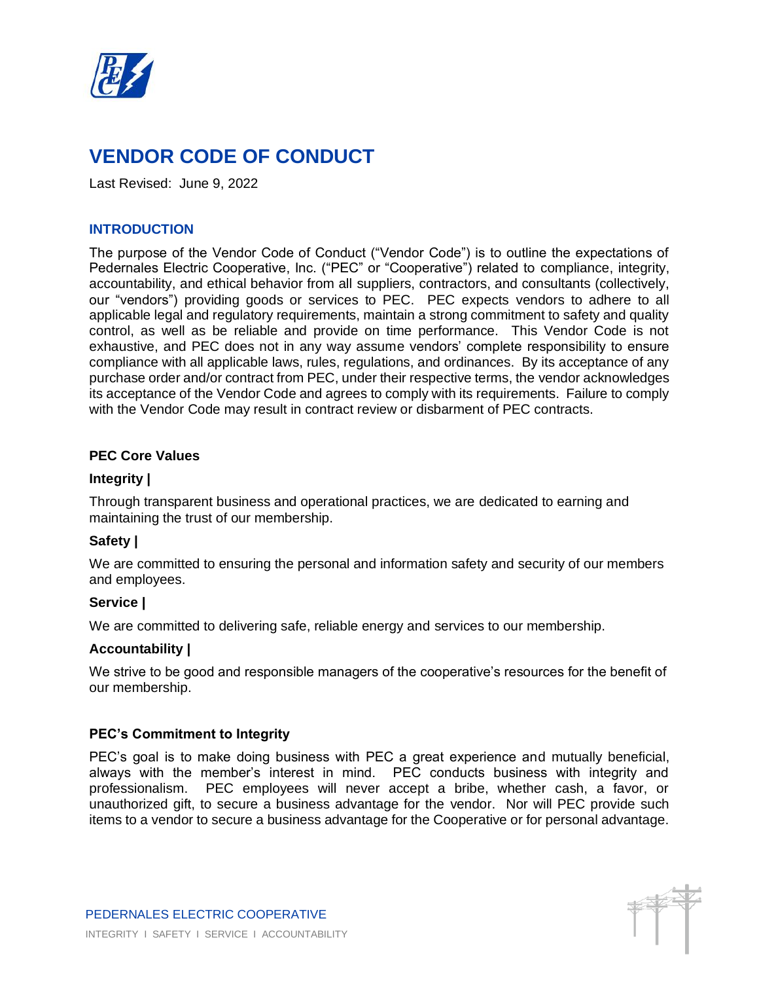

# **VENDOR CODE OF CONDUCT**

Last Revised: June 9, 2022

# **INTRODUCTION**

The purpose of the Vendor Code of Conduct ("Vendor Code") is to outline the expectations of Pedernales Electric Cooperative, Inc. ("PEC" or "Cooperative") related to compliance, integrity, accountability, and ethical behavior from all suppliers, contractors, and consultants (collectively, our "vendors") providing goods or services to PEC. PEC expects vendors to adhere to all applicable legal and regulatory requirements, maintain a strong commitment to safety and quality control, as well as be reliable and provide on time performance. This Vendor Code is not exhaustive, and PEC does not in any way assume vendors' complete responsibility to ensure compliance with all applicable laws, rules, regulations, and ordinances. By its acceptance of any purchase order and/or contract from PEC, under their respective terms, the vendor acknowledges its acceptance of the Vendor Code and agrees to comply with its requirements. Failure to comply with the Vendor Code may result in contract review or disbarment of PEC contracts.

## **PEC Core Values**

## **Integrity |**

Through transparent business and operational practices, we are dedicated to earning and maintaining the trust of our membership.

# **Safety |**

We are committed to ensuring the personal and information safety and security of our members and employees.

## **Service |**

We are committed to delivering safe, reliable energy and services to our membership.

## **Accountability |**

We strive to be good and responsible managers of the cooperative's resources for the benefit of our membership.

## **PEC's Commitment to Integrity**

PEC's goal is to make doing business with PEC a great experience and mutually beneficial, always with the member's interest in mind. PEC conducts business with integrity and professionalism. PEC employees will never accept a bribe, whether cash, a favor, or unauthorized gift, to secure a business advantage for the vendor. Nor will PEC provide such items to a vendor to secure a business advantage for the Cooperative or for personal advantage.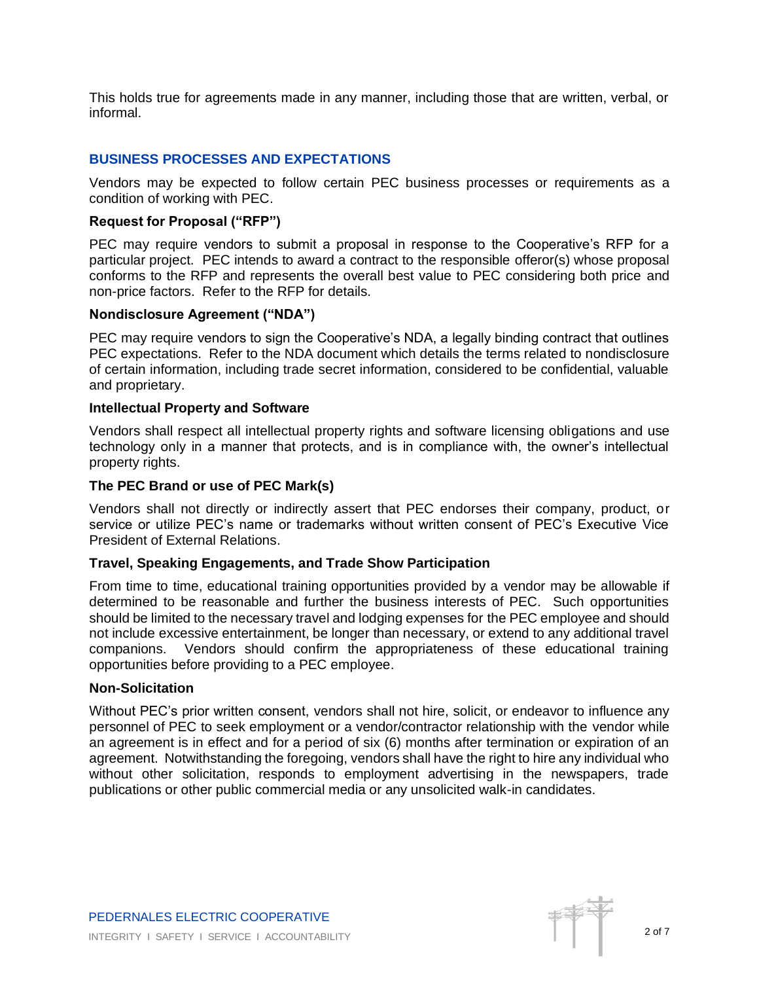This holds true for agreements made in any manner, including those that are written, verbal, or informal.

# **BUSINESS PROCESSES AND EXPECTATIONS**

Vendors may be expected to follow certain PEC business processes or requirements as a condition of working with PEC.

#### **Request for Proposal ("RFP")**

PEC may require vendors to submit a proposal in response to the Cooperative's RFP for a particular project. PEC intends to award a contract to the responsible offeror(s) whose proposal conforms to the RFP and represents the overall best value to PEC considering both price and non-price factors. Refer to the RFP for details.

#### **Nondisclosure Agreement ("NDA")**

PEC may require vendors to sign the Cooperative's NDA, a legally binding contract that outlines PEC expectations. Refer to the NDA document which details the terms related to nondisclosure of certain information, including trade secret information, considered to be confidential, valuable and proprietary.

#### **Intellectual Property and Software**

Vendors shall respect all intellectual property rights and software licensing obligations and use technology only in a manner that protects, and is in compliance with, the owner's intellectual property rights.

#### **The PEC Brand or use of PEC Mark(s)**

Vendors shall not directly or indirectly assert that PEC endorses their company, product, or service or utilize PEC's name or trademarks without written consent of PEC's Executive Vice President of External Relations.

## **Travel, Speaking Engagements, and Trade Show Participation**

From time to time, educational training opportunities provided by a vendor may be allowable if determined to be reasonable and further the business interests of PEC. Such opportunities should be limited to the necessary travel and lodging expenses for the PEC employee and should not include excessive entertainment, be longer than necessary, or extend to any additional travel companions. Vendors should confirm the appropriateness of these educational training opportunities before providing to a PEC employee.

#### **Non-Solicitation**

Without PEC's prior written consent, vendors shall not hire, solicit, or endeavor to influence any personnel of PEC to seek employment or a vendor/contractor relationship with the vendor while an agreement is in effect and for a period of six (6) months after termination or expiration of an agreement. Notwithstanding the foregoing, vendors shall have the right to hire any individual who without other solicitation, responds to employment advertising in the newspapers, trade publications or other public commercial media or any unsolicited walk-in candidates.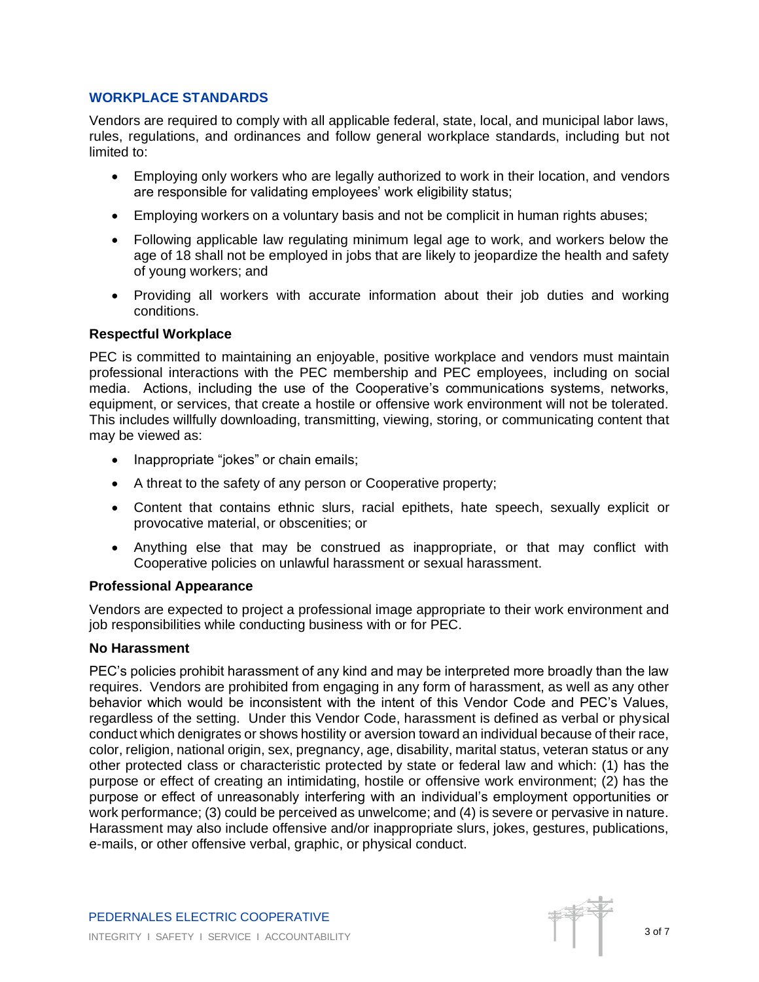## **WORKPLACE STANDARDS**

Vendors are required to comply with all applicable federal, state, local, and municipal labor laws, rules, regulations, and ordinances and follow general workplace standards, including but not limited to:

- Employing only workers who are legally authorized to work in their location, and vendors are responsible for validating employees' work eligibility status;
- Employing workers on a voluntary basis and not be complicit in human rights abuses;
- Following applicable law regulating minimum legal age to work, and workers below the age of 18 shall not be employed in jobs that are likely to jeopardize the health and safety of young workers; and
- Providing all workers with accurate information about their job duties and working conditions.

## **Respectful Workplace**

PEC is committed to maintaining an enjoyable, positive workplace and vendors must maintain professional interactions with the PEC membership and PEC employees, including on social media. Actions, including the use of the Cooperative's communications systems, networks, equipment, or services, that create a hostile or offensive work environment will not be tolerated. This includes willfully downloading, transmitting, viewing, storing, or communicating content that may be viewed as:

- Inappropriate "jokes" or chain emails;
- A threat to the safety of any person or Cooperative property;
- Content that contains ethnic slurs, racial epithets, hate speech, sexually explicit or provocative material, or obscenities; or
- Anything else that may be construed as inappropriate, or that may conflict with Cooperative policies on unlawful harassment or sexual harassment.

## **Professional Appearance**

Vendors are expected to project a professional image appropriate to their work environment and job responsibilities while conducting business with or for PEC.

## **No Harassment**

PEC's policies prohibit harassment of any kind and may be interpreted more broadly than the law requires. Vendors are prohibited from engaging in any form of harassment, as well as any other behavior which would be inconsistent with the intent of this Vendor Code and PEC's Values, regardless of the setting. Under this Vendor Code, harassment is defined as verbal or physical conduct which denigrates or shows hostility or aversion toward an individual because of their race, color, religion, national origin, sex, pregnancy, age, disability, marital status, veteran status or any other protected class or characteristic protected by state or federal law and which: (1) has the purpose or effect of creating an intimidating, hostile or offensive work environment; (2) has the purpose or effect of unreasonably interfering with an individual's employment opportunities or work performance; (3) could be perceived as unwelcome; and (4) is severe or pervasive in nature. Harassment may also include offensive and/or inappropriate slurs, jokes, gestures, publications, e-mails, or other offensive verbal, graphic, or physical conduct.

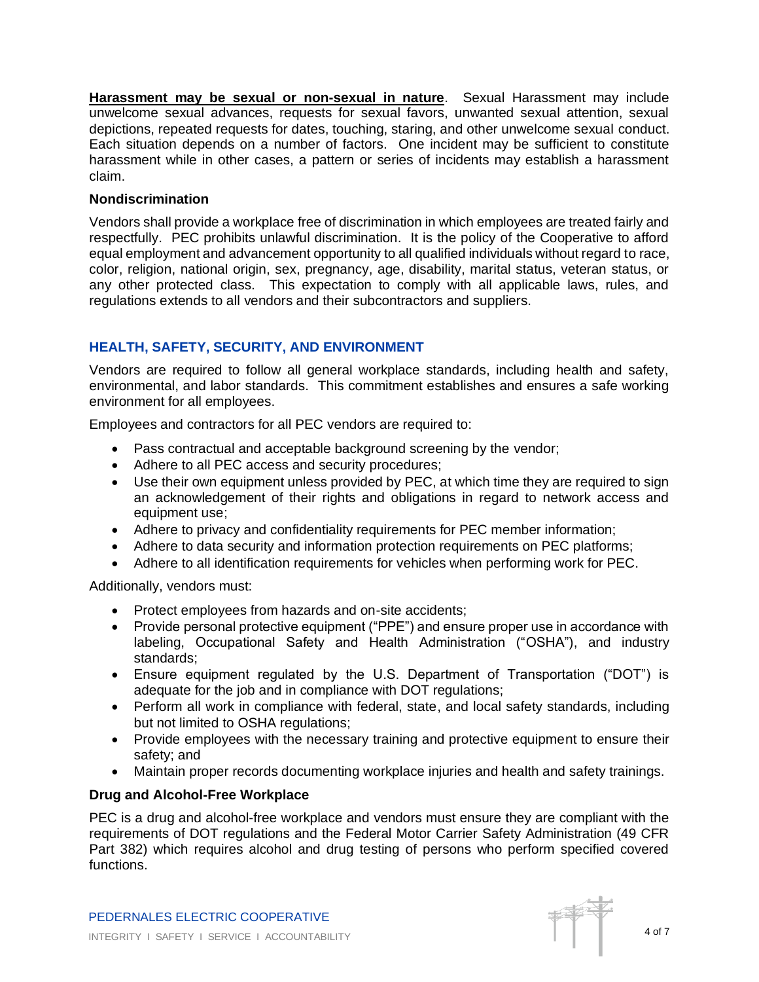**Harassment may be sexual or non-sexual in nature**. Sexual Harassment may include unwelcome sexual advances, requests for sexual favors, unwanted sexual attention, sexual depictions, repeated requests for dates, touching, staring, and other unwelcome sexual conduct. Each situation depends on a number of factors. One incident may be sufficient to constitute harassment while in other cases, a pattern or series of incidents may establish a harassment claim.

# **Nondiscrimination**

Vendors shall provide a workplace free of discrimination in which employees are treated fairly and respectfully. PEC prohibits unlawful discrimination. It is the policy of the Cooperative to afford equal employment and advancement opportunity to all qualified individuals without regard to race, color, religion, national origin, sex, pregnancy, age, disability, marital status, veteran status, or any other protected class. This expectation to comply with all applicable laws, rules, and regulations extends to all vendors and their subcontractors and suppliers.

# **HEALTH, SAFETY, SECURITY, AND ENVIRONMENT**

Vendors are required to follow all general workplace standards, including health and safety, environmental, and labor standards. This commitment establishes and ensures a safe working environment for all employees.

Employees and contractors for all PEC vendors are required to:

- Pass contractual and acceptable background screening by the vendor;
- Adhere to all PEC access and security procedures;
- Use their own equipment unless provided by PEC, at which time they are required to sign an acknowledgement of their rights and obligations in regard to network access and equipment use;
- Adhere to privacy and confidentiality requirements for PEC member information;
- Adhere to data security and information protection requirements on PEC platforms;
- Adhere to all identification requirements for vehicles when performing work for PEC.

Additionally, vendors must:

- Protect employees from hazards and on-site accidents;
- Provide personal protective equipment ("PPE") and ensure proper use in accordance with labeling, Occupational Safety and Health Administration ("OSHA"), and industry standards;
- Ensure equipment regulated by the U.S. Department of Transportation ("DOT") is adequate for the job and in compliance with DOT regulations;
- Perform all work in compliance with federal, state, and local safety standards, including but not limited to OSHA regulations;
- Provide employees with the necessary training and protective equipment to ensure their safety; and
- Maintain proper records documenting workplace injuries and health and safety trainings.

# **Drug and Alcohol-Free Workplace**

PEC is a drug and alcohol-free workplace and vendors must ensure they are compliant with the requirements of DOT regulations and the Federal Motor Carrier Safety Administration (49 CFR Part 382) which requires alcohol and drug testing of persons who perform specified covered functions.

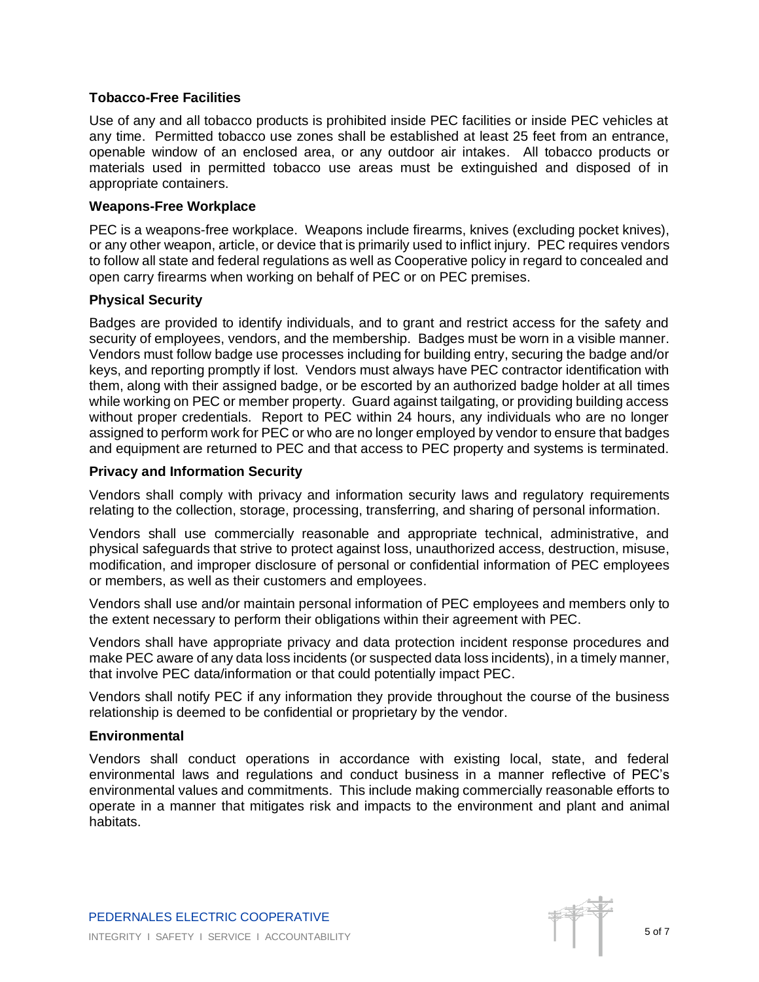## **Tobacco-Free Facilities**

Use of any and all tobacco products is prohibited inside PEC facilities or inside PEC vehicles at any time. Permitted tobacco use zones shall be established at least 25 feet from an entrance, openable window of an enclosed area, or any outdoor air intakes. All tobacco products or materials used in permitted tobacco use areas must be extinguished and disposed of in appropriate containers.

## **Weapons-Free Workplace**

PEC is a weapons-free workplace. Weapons include firearms, knives (excluding pocket knives), or any other weapon, article, or device that is primarily used to inflict injury. PEC requires vendors to follow all state and federal regulations as well as Cooperative policy in regard to concealed and open carry firearms when working on behalf of PEC or on PEC premises.

## **Physical Security**

Badges are provided to identify individuals, and to grant and restrict access for the safety and security of employees, vendors, and the membership. Badges must be worn in a visible manner. Vendors must follow badge use processes including for building entry, securing the badge and/or keys, and reporting promptly if lost. Vendors must always have PEC contractor identification with them, along with their assigned badge, or be escorted by an authorized badge holder at all times while working on PEC or member property. Guard against tailgating, or providing building access without proper credentials. Report to PEC within 24 hours, any individuals who are no longer assigned to perform work for PEC or who are no longer employed by vendor to ensure that badges and equipment are returned to PEC and that access to PEC property and systems is terminated.

## **Privacy and Information Security**

Vendors shall comply with privacy and information security laws and regulatory requirements relating to the collection, storage, processing, transferring, and sharing of personal information.

Vendors shall use commercially reasonable and appropriate technical, administrative, and physical safeguards that strive to protect against loss, unauthorized access, destruction, misuse, modification, and improper disclosure of personal or confidential information of PEC employees or members, as well as their customers and employees.

Vendors shall use and/or maintain personal information of PEC employees and members only to the extent necessary to perform their obligations within their agreement with PEC.

Vendors shall have appropriate privacy and data protection incident response procedures and make PEC aware of any data loss incidents (or suspected data loss incidents), in a timely manner, that involve PEC data/information or that could potentially impact PEC.

Vendors shall notify PEC if any information they provide throughout the course of the business relationship is deemed to be confidential or proprietary by the vendor.

## **Environmental**

Vendors shall conduct operations in accordance with existing local, state, and federal environmental laws and regulations and conduct business in a manner reflective of PEC's environmental values and commitments. This include making commercially reasonable efforts to operate in a manner that mitigates risk and impacts to the environment and plant and animal habitats.

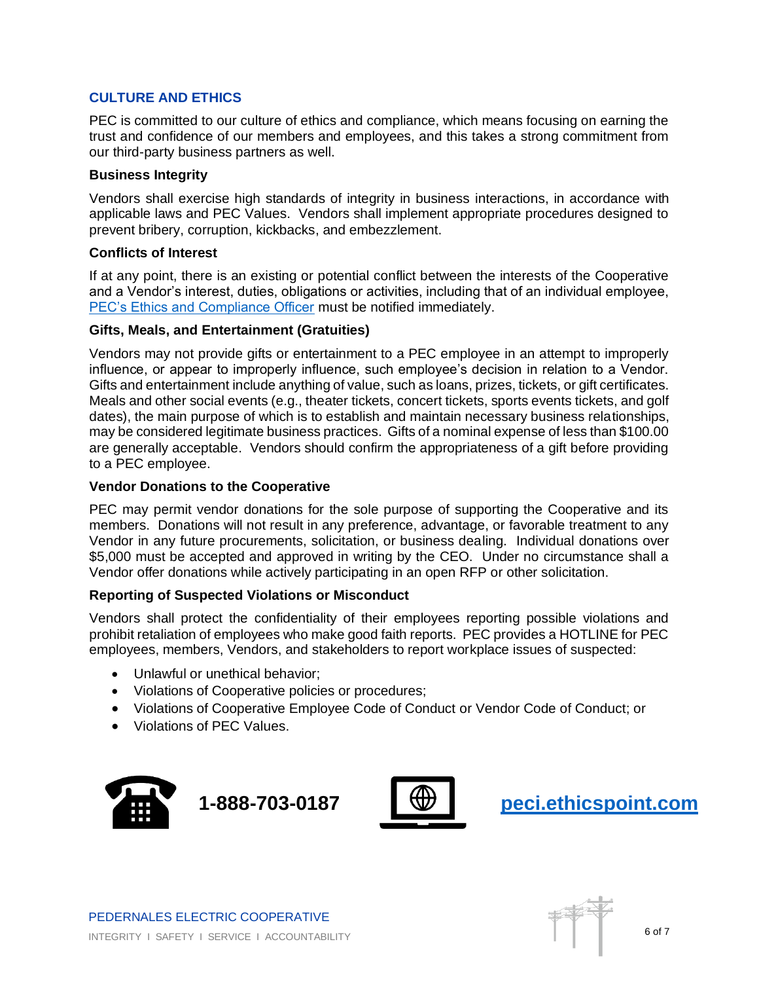# **CULTURE AND ETHICS**

PEC is committed to our culture of ethics and compliance, which means focusing on earning the trust and confidence of our members and employees, and this takes a strong commitment from our third-party business partners as well.

## **Business Integrity**

Vendors shall exercise high standards of integrity in business interactions, in accordance with applicable laws and PEC Values. Vendors shall implement appropriate procedures designed to prevent bribery, corruption, kickbacks, and embezzlement.

## **Conflicts of Interest**

If at any point, there is an existing or potential conflict between the interests of the Cooperative and a Vendor's interest, duties, obligations or activities, including that of an individual employee, [PEC's Ethics and Compliance Officer](mailto:ethicsandcomplianceofficer@peci.com) must be notified immediately.

## **Gifts, Meals, and Entertainment (Gratuities)**

Vendors may not provide gifts or entertainment to a PEC employee in an attempt to improperly influence, or appear to improperly influence, such employee's decision in relation to a Vendor. Gifts and entertainment include anything of value, such as loans, prizes, tickets, or gift certificates. Meals and other social events (e.g., theater tickets, concert tickets, sports events tickets, and golf dates), the main purpose of which is to establish and maintain necessary business relationships, may be considered legitimate business practices. Gifts of a nominal expense of less than \$100.00 are generally acceptable. Vendors should confirm the appropriateness of a gift before providing to a PEC employee.

# **Vendor Donations to the Cooperative**

PEC may permit vendor donations for the sole purpose of supporting the Cooperative and its members. Donations will not result in any preference, advantage, or favorable treatment to any Vendor in any future procurements, solicitation, or business dealing. Individual donations over \$5,000 must be accepted and approved in writing by the CEO. Under no circumstance shall a Vendor offer donations while actively participating in an open RFP or other solicitation.

# **Reporting of Suspected Violations or Misconduct**

Vendors shall protect the confidentiality of their employees reporting possible violations and prohibit retaliation of employees who make good faith reports. PEC provides a HOTLINE for PEC employees, members, Vendors, and stakeholders to report workplace issues of suspected:

- Unlawful or unethical behavior:
- Violations of Cooperative policies or procedures;
- Violations of Cooperative Employee Code of Conduct or Vendor Code of Conduct; or
- Violations of PEC Values.